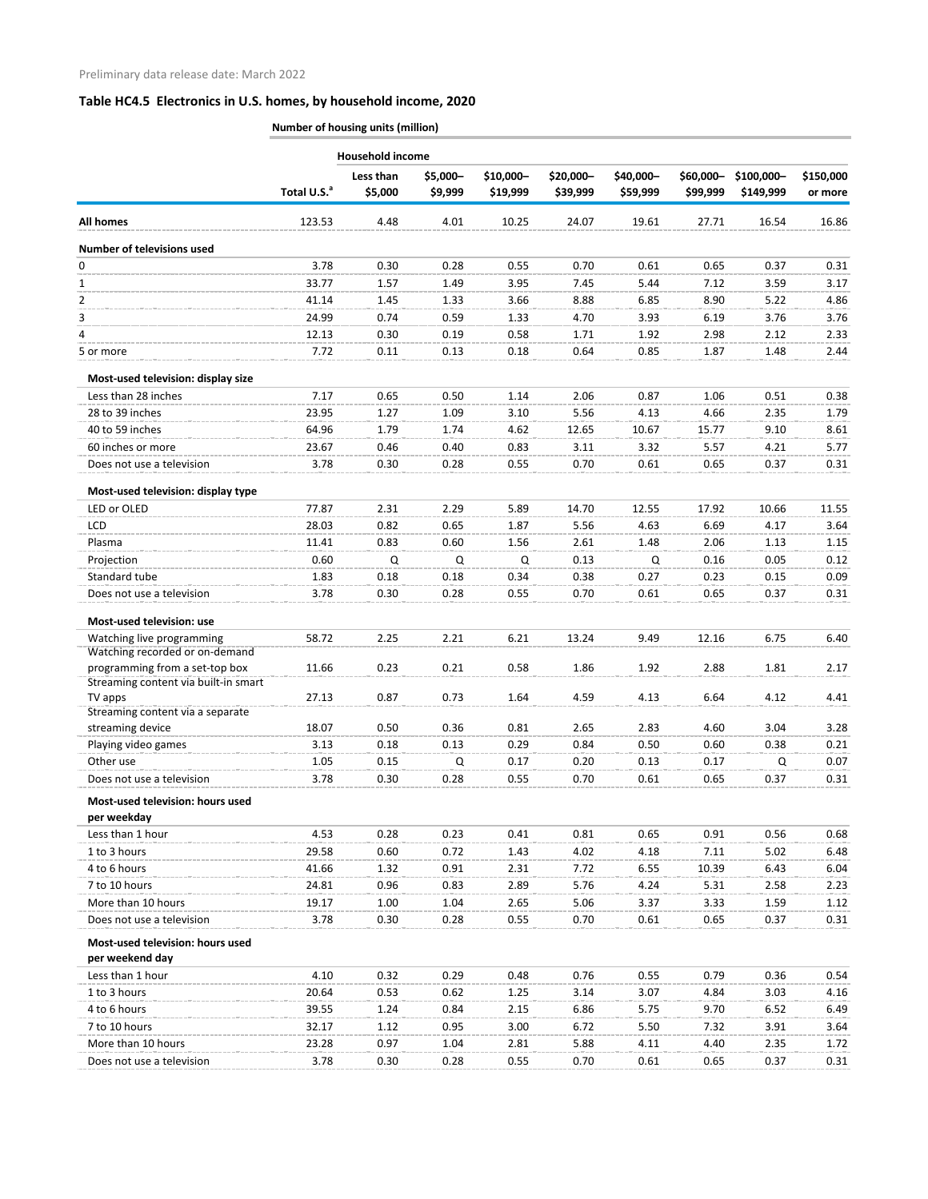|                                                                  |                         | <b>Household income</b> |                     |                       |                       |                       |                       |                          |                      |
|------------------------------------------------------------------|-------------------------|-------------------------|---------------------|-----------------------|-----------------------|-----------------------|-----------------------|--------------------------|----------------------|
|                                                                  | Total U.S. <sup>a</sup> | Less than<br>\$5,000    | \$5,000-<br>\$9,999 | \$10,000-<br>\$19,999 | \$20,000-<br>\$39,999 | \$40,000-<br>\$59,999 | \$60,000-<br>\$99,999 | $$100,000-$<br>\$149,999 | \$150,000<br>or more |
| All homes                                                        | 123.53                  | 4.48                    | 4.01                | 10.25                 | 24.07                 | 19.61                 | 27.71                 | 16.54                    | 16.86                |
| Number of televisions used                                       |                         |                         |                     |                       |                       |                       |                       |                          |                      |
| 0                                                                | 3.78                    | 0.30                    | 0.28                | 0.55                  | 0.70                  | 0.61                  | 0.65                  | 0.37                     | 0.31                 |
| 1                                                                | 33.77                   | 1.57                    | 1.49                | 3.95                  | 7.45                  | 5.44                  | 7.12                  | 3.59                     | 3.17                 |
| $\overline{2}$                                                   | 41.14                   | 1.45                    | 1.33                | 3.66                  | 8.88                  | 6.85                  | 8.90                  | 5.22                     | 4.86                 |
| 3                                                                | 24.99                   | 0.74                    | 0.59                | 1.33                  | 4.70                  | 3.93                  | 6.19                  | 3.76                     | 3.76                 |
| 4                                                                | 12.13                   | 0.30                    | 0.19                | 0.58                  | 1.71                  | 1.92                  | 2.98                  | 2.12                     | 2.33                 |
| 5 or more                                                        | 7.72                    | 0.11                    | 0.13                | 0.18                  | 0.64                  | 0.85                  | 1.87                  | 1.48                     | 2.44                 |
| Most-used television: display size                               |                         |                         |                     |                       |                       |                       |                       |                          |                      |
| Less than 28 inches                                              | 7.17                    | 0.65                    | 0.50                | 1.14                  | 2.06                  | 0.87                  | 1.06                  | 0.51                     | 0.38                 |
| 28 to 39 inches                                                  | 23.95                   | 1.27                    | 1.09                | 3.10                  | 5.56                  | 4.13                  | 4.66                  | 2.35                     | 1.79                 |
| 40 to 59 inches                                                  | 64.96                   | 1.79                    | 1.74                | 4.62                  | 12.65                 | 10.67                 | 15.77                 | 9.10                     | 8.61                 |
| 60 inches or more                                                | 23.67                   | 0.46                    | 0.40                | 0.83                  | 3.11                  | 3.32                  | 5.57                  | 4.21                     | 5.77                 |
| Does not use a television                                        | 3.78                    | 0.30                    | 0.28                | 0.55                  | 0.70                  | 0.61                  | 0.65                  | 0.37                     | 0.31                 |
| Most-used television: display type                               |                         |                         |                     |                       |                       |                       |                       |                          |                      |
| LED or OLED                                                      | 77.87                   | 2.31                    | 2.29                | 5.89                  | 14.70                 | 12.55                 | 17.92                 | 10.66                    | 11.55                |
| <b>LCD</b>                                                       | 28.03                   | 0.82                    | 0.65                | 1.87                  | 5.56                  | 4.63                  | 6.69                  | 4.17                     | 3.64                 |
| Plasma                                                           | 11.41                   | 0.83                    | 0.60                | 1.56                  | 2.61                  | 1.48                  | 2.06                  | 1.13                     | 1.15                 |
| Projection                                                       | 0.60                    | Q                       | Q                   | Q                     | 0.13                  | Q                     | 0.16                  | 0.05                     | 0.12                 |
| Standard tube                                                    | 1.83                    | 0.18                    | 0.18                | 0.34                  | 0.38                  | 0.27                  | 0.23                  | 0.15                     | 0.09                 |
| Does not use a television                                        | 3.78                    | 0.30                    | 0.28                | 0.55                  | 0.70                  | 0.61                  | 0.65                  | 0.37                     | 0.31                 |
| Most-used television: use                                        |                         |                         |                     |                       |                       |                       |                       |                          |                      |
| Watching live programming                                        | 58.72                   | 2.25                    | 2.21                | 6.21                  | 13.24                 | 9.49                  | 12.16                 | 6.75                     | 6.40                 |
| Watching recorded or on-demand<br>programming from a set-top box | 11.66                   | 0.23                    | 0.21                | 0.58                  | 1.86                  | 1.92                  | 2.88                  | 1.81                     | 2.17                 |
| Streaming content via built-in smart                             |                         |                         |                     |                       |                       |                       |                       |                          |                      |
| TV apps                                                          | 27.13                   | 0.87                    | 0.73                | 1.64                  | 4.59                  | 4.13                  | 6.64                  | 4.12                     | 4.41                 |
| Streaming content via a separate                                 |                         |                         |                     |                       |                       |                       |                       |                          |                      |
| streaming device                                                 | 18.07                   | 0.50                    | 0.36                | 0.81                  | 2.65                  | 2.83                  | 4.60                  | 3.04                     | 3.28                 |
| Playing video games                                              | 3.13                    | 0.18                    | 0.13                | 0.29                  | 0.84                  | 0.50                  | 0.60                  | 0.38                     | 0.21                 |
| Other use                                                        | 1.05                    | 0.15                    | Q                   | 0.17                  | 0.20                  | 0.13                  | 0.17                  | Q                        | 0.07                 |
| Does not use a television                                        | 3.78                    | 0.30                    | 0.28                | 0.55                  | 0.70                  | 0.61                  | 0.65                  | 0.37                     | 0.31                 |
| Most-used television: hours used                                 |                         |                         |                     |                       |                       |                       |                       |                          |                      |
| per weekday                                                      |                         |                         |                     |                       |                       |                       |                       |                          |                      |
| Less than 1 hour                                                 | 4.53                    | 0.28                    | 0.23                | 0.41                  | 0.81                  | 0.65                  | 0.91                  | 0.56                     | 0.68                 |
| 1 to 3 hours                                                     | 29.58                   | 0.60                    | 0.72                | 1.43                  | 4.02                  | 4.18                  | 7.11                  | 5.02                     | 6.48                 |
| 4 to 6 hours                                                     | 41.66                   | 1.32                    | 0.91                | 2.31                  | 7.72                  | 6.55                  | 10.39                 | 6.43                     | 6.04                 |
| 7 to 10 hours                                                    | 24.81                   | 0.96                    | 0.83                | 2.89                  | 5.76                  | 4.24                  | 5.31                  | 2.58                     | 2.23                 |
| More than 10 hours                                               | 19.17                   | 1.00                    | 1.04                | 2.65                  | 5.06                  | 3.37                  | 3.33                  | 1.59                     | 1.12                 |
| Does not use a television                                        | 3.78                    | 0.30                    | 0.28                | 0.55                  | 0.70                  | 0.61                  | 0.65                  | 0.37                     | 0.31                 |
| Most-used television: hours used<br>per weekend day              |                         |                         |                     |                       |                       |                       |                       |                          |                      |
| Less than 1 hour                                                 | 4.10                    | 0.32                    | 0.29                | 0.48                  | 0.76                  | 0.55                  | 0.79                  | 0.36                     | 0.54                 |
| 1 to 3 hours                                                     | 20.64                   | 0.53                    | 0.62                | 1.25                  | 3.14                  | 3.07                  | 4.84                  | 3.03                     | 4.16                 |
| 4 to 6 hours                                                     | 39.55                   | 1.24                    | 0.84                | 2.15                  | 6.86                  | 5.75                  | 9.70                  | 6.52                     | 6.49                 |
| 7 to 10 hours                                                    | 32.17                   | 1.12                    | 0.95                | 3.00                  | 6.72                  | 5.50                  | 7.32                  | 3.91                     | 3.64                 |
| More than 10 hours                                               | 23.28                   | 0.97                    | 1.04                | 2.81                  | 5.88                  | 4.11                  | 4.40                  | 2.35                     | 1.72                 |
| Does not use a television                                        | 3.78                    | 0.30                    | 0.28                | 0.55                  | 0.70                  | 0.61                  | 0.65                  | 0.37                     | 0.31                 |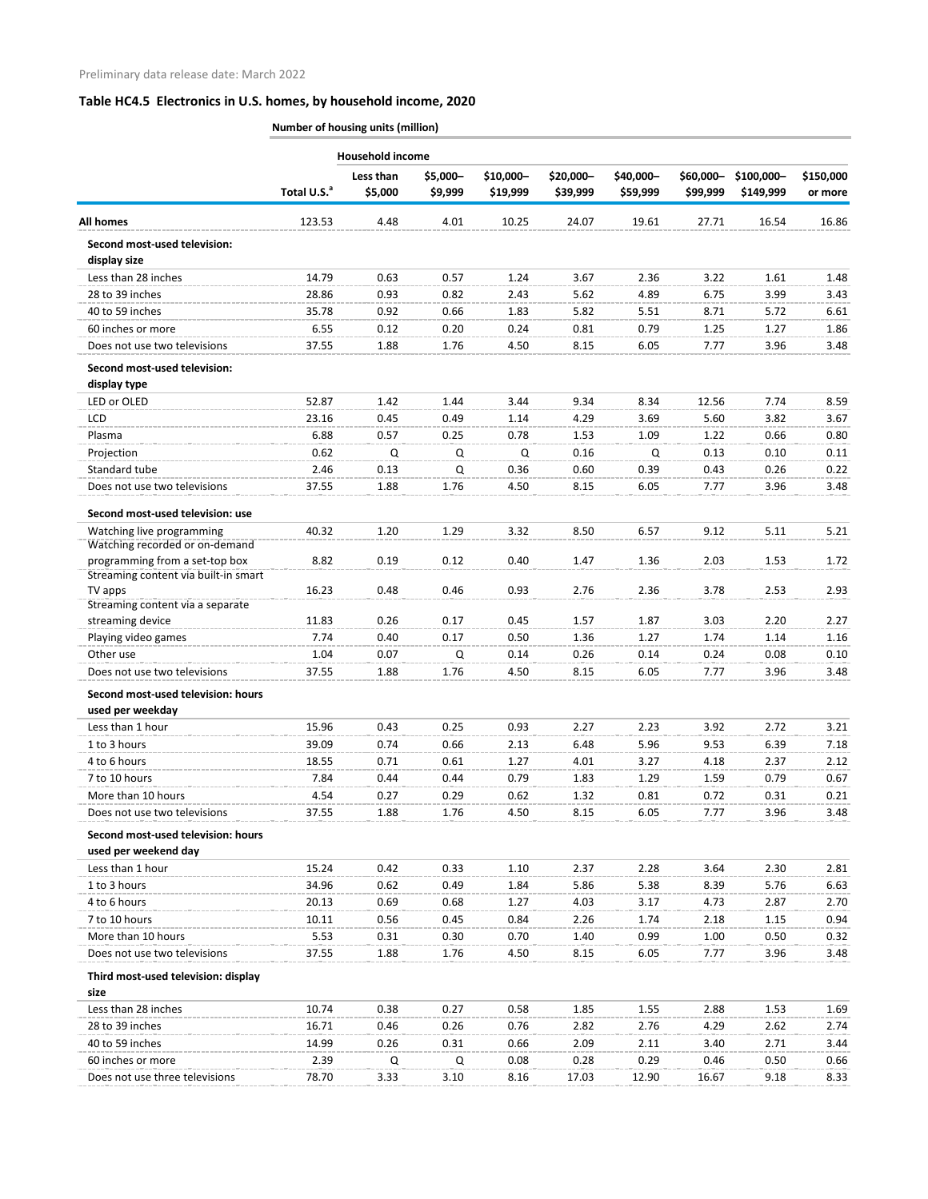|                                                                        | <b>Household income</b> |                      |                     |                       |                       |                       |                        |                         |                      |
|------------------------------------------------------------------------|-------------------------|----------------------|---------------------|-----------------------|-----------------------|-----------------------|------------------------|-------------------------|----------------------|
|                                                                        | Total U.S. <sup>a</sup> | Less than<br>\$5,000 | \$5,000-<br>\$9,999 | \$10,000-<br>\$19,999 | \$20,000-<br>\$39,999 | \$40,000-<br>\$59,999 | $$60,000-$<br>\$99,999 | \$100,000-<br>\$149,999 | \$150,000<br>or more |
| <b>All homes</b>                                                       | 123.53                  | 4.48                 | 4.01                | 10.25                 | 24.07                 | 19.61                 | 27.71                  | 16.54                   | 16.86                |
| Second most-used television:                                           |                         |                      |                     |                       |                       |                       |                        |                         |                      |
| display size                                                           |                         |                      |                     |                       |                       |                       |                        |                         |                      |
| Less than 28 inches                                                    | 14.79                   | 0.63                 | 0.57                | 1.24                  | 3.67                  | 2.36                  | 3.22                   | 1.61                    | 1.48                 |
| 28 to 39 inches                                                        | 28.86                   | 0.93                 | 0.82                | 2.43                  | 5.62                  | 4.89                  | 6.75                   | 3.99                    | 3.43                 |
| 40 to 59 inches                                                        | 35.78                   | 0.92                 | 0.66                | 1.83                  | 5.82                  | 5.51                  | 8.71                   | 5.72                    | 6.61                 |
| 60 inches or more                                                      | 6.55                    | 0.12                 | 0.20                | 0.24                  | 0.81                  | 0.79                  | 1.25                   | 1.27                    | 1.86                 |
| Does not use two televisions                                           | 37.55                   | 1.88                 | 1.76                | 4.50                  | 8.15                  | 6.05                  | 7.77                   | 3.96                    | 3.48                 |
| Second most-used television:<br>display type                           |                         |                      |                     |                       |                       |                       |                        |                         |                      |
| LED or OLED                                                            | 52.87                   | 1.42                 | 1.44                | 3.44                  | 9.34                  | 8.34                  | 12.56                  | 7.74                    | 8.59                 |
| <b>LCD</b>                                                             | 23.16                   | 0.45                 | 0.49                | 1.14                  | 4.29                  | 3.69                  | 5.60                   | 3.82                    | 3.67                 |
| Plasma                                                                 | 6.88                    | 0.57                 | 0.25                | 0.78                  | 1.53                  | 1.09                  | 1.22                   | 0.66                    | 0.80                 |
| Projection                                                             | 0.62                    | Q                    | Q                   | Q                     | 0.16                  | Q                     | 0.13                   | 0.10                    | 0.11                 |
| Standard tube                                                          | 2.46                    | 0.13                 | Q                   | 0.36                  | 0.60                  | 0.39                  | 0.43                   | 0.26                    | 0.22                 |
| Does not use two televisions                                           | 37.55                   | 1.88                 | 1.76                | 4.50                  | 8.15                  | 6.05                  | 7.77                   | 3.96                    | 3.48                 |
| Second most-used television: use                                       |                         |                      |                     |                       |                       |                       |                        |                         |                      |
| Watching live programming                                              | 40.32                   | 1.20                 | 1.29                | 3.32                  | 8.50                  | 6.57                  | 9.12                   | 5.11                    | 5.21                 |
| Watching recorded or on-demand                                         |                         |                      |                     |                       |                       |                       |                        |                         |                      |
| programming from a set-top box<br>Streaming content via built-in smart | 8.82                    | 0.19                 | 0.12                | 0.40                  | 1.47                  | 1.36                  | 2.03                   | 1.53                    | 1.72                 |
| TV apps                                                                | 16.23                   | 0.48                 | 0.46                | 0.93                  | 2.76                  | 2.36                  | 3.78                   | 2.53                    | 2.93                 |
| Streaming content via a separate                                       |                         |                      |                     |                       |                       |                       |                        |                         |                      |
| streaming device                                                       | 11.83                   | 0.26                 | 0.17                | 0.45                  | 1.57                  | 1.87                  | 3.03                   | 2.20                    | 2.27                 |
| Playing video games                                                    | 7.74                    | 0.40                 | 0.17                | 0.50                  | 1.36                  | 1.27                  | 1.74                   | 1.14                    | 1.16                 |
| Other use                                                              | 1.04                    | 0.07                 | Q                   | 0.14                  | 0.26                  | 0.14                  | 0.24                   | 0.08                    | 0.10                 |
| Does not use two televisions                                           | 37.55                   | 1.88                 | 1.76                | 4.50                  | 8.15                  | 6.05                  | 7.77                   | 3.96                    | 3.48                 |
| Second most-used television: hours                                     |                         |                      |                     |                       |                       |                       |                        |                         |                      |
| used per weekday                                                       |                         |                      |                     |                       |                       |                       |                        |                         |                      |
| Less than 1 hour                                                       | 15.96                   | 0.43                 | 0.25                | 0.93                  | 2.27                  | 2.23                  | 3.92                   | 2.72                    | 3.21                 |
| 1 to 3 hours                                                           | 39.09                   | 0.74                 | 0.66                | 2.13                  | 6.48                  | 5.96                  | 9.53                   | 6.39                    | 7.18                 |
| 4 to 6 hours                                                           | 18.55                   | 0.71                 | 0.61                | 1.27                  | 4.01                  | 3.27                  | 4.18                   | 2.37                    | 2.12                 |
| 7 to 10 hours                                                          | 7.84                    | 0.44                 | 0.44                | 0.79                  | 1.83                  | 1.29                  | 1.59                   | 0.79                    | 0.67                 |
| More than 10 hours                                                     | 4.54                    | 0.27                 | 0.29                | 0.62                  | 1.32                  | 0.81                  | 0.72                   | 0.31                    | 0.21                 |
| Does not use two televisions                                           | 37.55                   | 1.88                 | 1.76                | 4.50                  | 8.15                  | 6.05                  | 7.77                   | 3.96                    | 3.48                 |
| Second most-used television: hours<br>used per weekend day             |                         |                      |                     |                       |                       |                       |                        |                         |                      |
| Less than 1 hour                                                       | 15.24                   | 0.42                 | 0.33                | 1.10                  | 2.37                  | 2.28                  | 3.64                   | 2.30                    | 2.81                 |
| 1 to 3 hours                                                           | 34.96                   | 0.62                 | 0.49                | 1.84                  | 5.86                  | 5.38                  | 8.39                   | 5.76                    | 6.63                 |
| 4 to 6 hours                                                           | 20.13                   | 0.69                 | 0.68                | 1.27                  | 4.03                  | 3.17                  | 4.73                   | 2.87                    | 2.70                 |
| 7 to 10 hours                                                          | 10.11                   | 0.56                 | 0.45                | 0.84                  | 2.26                  | 1.74                  | 2.18                   | 1.15                    | 0.94                 |
| More than 10 hours                                                     | 5.53                    | 0.31                 | 0.30                | 0.70                  | 1.40                  | 0.99                  | 1.00                   | 0.50                    | 0.32                 |
| Does not use two televisions                                           | 37.55                   | 1.88                 | 1.76                | 4.50                  | 8.15                  | 6.05                  | 7.77                   | 3.96                    | 3.48                 |
| Third most-used television: display                                    |                         |                      |                     |                       |                       |                       |                        |                         |                      |
| size<br>Less than 28 inches                                            | 10.74                   | 0.38                 | 0.27                | 0.58                  | 1.85                  | 1.55                  | 2.88                   | 1.53                    | 1.69                 |
| 28 to 39 inches                                                        | 16.71                   | 0.46                 | 0.26                | 0.76                  | 2.82                  | 2.76                  | 4.29                   | 2.62                    | 2.74                 |
| 40 to 59 inches                                                        | 14.99                   | 0.26                 | 0.31                | 0.66                  | 2.09                  | 2.11                  | 3.40                   | 2.71                    | 3.44                 |
| 60 inches or more                                                      | 2.39                    | Q                    | Q                   | 0.08                  | 0.28                  | 0.29                  | 0.46                   | 0.50                    | 0.66                 |
| Does not use three televisions                                         | 78.70                   | 3.33                 | 3.10                | 8.16                  | 17.03                 | 12.90                 | 16.67                  | 9.18                    | 8.33                 |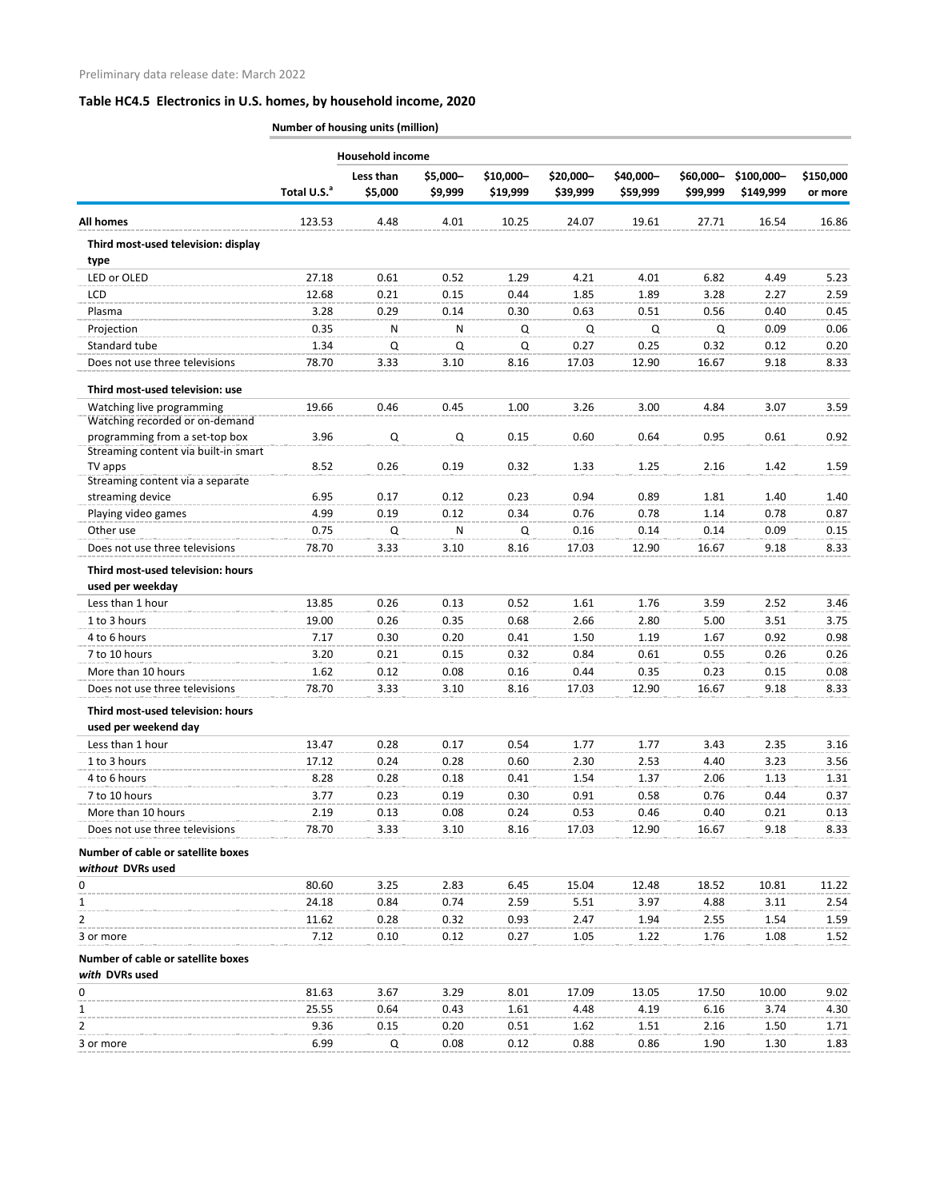|                                                                        |                         | <b>Household income</b> |                     |                       |                       |                       |                       |                         |                      |
|------------------------------------------------------------------------|-------------------------|-------------------------|---------------------|-----------------------|-----------------------|-----------------------|-----------------------|-------------------------|----------------------|
|                                                                        | Total U.S. <sup>a</sup> | Less than<br>\$5,000    | \$5,000-<br>\$9,999 | \$10,000-<br>\$19,999 | \$20,000-<br>\$39,999 | \$40,000-<br>\$59,999 | \$60,000-<br>\$99,999 | \$100,000-<br>\$149,999 | \$150,000<br>or more |
| <b>All homes</b>                                                       | 123.53                  | 4.48                    | 4.01                | 10.25                 | 24.07                 | 19.61                 | 27.71                 | 16.54                   | 16.86                |
| Third most-used television: display<br>type                            |                         |                         |                     |                       |                       |                       |                       |                         |                      |
| LED or OLED                                                            | 27.18                   | 0.61                    | 0.52                | 1.29                  | 4.21                  | 4.01                  | 6.82                  | 4.49                    | 5.23                 |
| LCD                                                                    | 12.68                   | 0.21                    | 0.15                | 0.44                  | 1.85                  | 1.89                  | 3.28                  | 2.27                    | 2.59                 |
| Plasma                                                                 | 3.28                    | 0.29                    | 0.14                | 0.30                  | 0.63                  | 0.51                  | 0.56                  | 0.40                    | 0.45                 |
| Projection                                                             | 0.35                    | N                       | N                   | Q                     | Q                     | Q                     | Q                     | 0.09                    | 0.06                 |
| Standard tube                                                          | 1.34                    | Q                       | Q                   | Q                     | 0.27                  | 0.25                  | 0.32                  | 0.12                    | 0.20                 |
| Does not use three televisions                                         | 78.70                   | 3.33                    | 3.10                | 8.16                  | 17.03                 | 12.90                 | 16.67                 | 9.18                    | 8.33                 |
| Third most-used television: use                                        |                         |                         |                     |                       |                       |                       |                       |                         |                      |
| Watching live programming                                              | 19.66                   | 0.46                    | 0.45                | 1.00                  | 3.26                  | 3.00                  | 4.84                  | 3.07                    | 3.59                 |
| Watching recorded or on-demand                                         |                         |                         |                     |                       |                       |                       |                       |                         |                      |
| programming from a set-top box<br>Streaming content via built-in smart | 3.96                    | Q                       | Q                   | 0.15                  | 0.60                  | 0.64                  | 0.95                  | 0.61                    | 0.92                 |
| TV apps                                                                | 8.52                    | 0.26                    | 0.19                | 0.32                  | 1.33                  | 1.25                  | 2.16                  | 1.42                    | 1.59                 |
| Streaming content via a separate                                       |                         |                         |                     |                       |                       |                       |                       |                         |                      |
| streaming device                                                       | 6.95                    | 0.17                    | 0.12                | 0.23                  | 0.94                  | 0.89                  | 1.81                  | 1.40                    | 1.40                 |
| Playing video games                                                    | 4.99                    | 0.19                    | 0.12                | 0.34                  | 0.76                  | 0.78                  | 1.14                  | 0.78                    | 0.87                 |
| Other use                                                              | 0.75                    | Q                       | N                   | Q                     | 0.16                  | 0.14                  | 0.14                  | 0.09                    | 0.15                 |
| Does not use three televisions                                         | 78.70                   | 3.33                    | 3.10                | 8.16                  | 17.03                 | 12.90                 | 16.67                 | 9.18                    | 8.33                 |
| Third most-used television: hours<br>used per weekday                  |                         |                         |                     |                       |                       |                       |                       |                         |                      |
| Less than 1 hour                                                       | 13.85                   | 0.26                    | 0.13                | 0.52                  | 1.61                  | 1.76                  | 3.59                  | 2.52                    | 3.46                 |
| 1 to 3 hours                                                           | 19.00                   | 0.26                    | 0.35                | 0.68                  | 2.66                  | 2.80                  | 5.00                  | 3.51                    | 3.75                 |
| 4 to 6 hours                                                           | 7.17                    | 0.30                    | 0.20                | 0.41                  | 1.50                  | 1.19                  | 1.67                  | 0.92                    | 0.98                 |
| 7 to 10 hours                                                          | 3.20                    | 0.21                    | 0.15                | 0.32                  | 0.84                  | 0.61                  | 0.55                  | 0.26                    | 0.26                 |
| More than 10 hours                                                     | 1.62                    | 0.12                    | 0.08                | 0.16                  | 0.44                  | 0.35                  | 0.23                  | 0.15                    | 0.08                 |
| Does not use three televisions                                         | 78.70                   | 3.33                    | 3.10                | 8.16                  | 17.03                 | 12.90                 | 16.67                 | 9.18                    | 8.33                 |
| Third most-used television: hours                                      |                         |                         |                     |                       |                       |                       |                       |                         |                      |
| used per weekend day                                                   |                         |                         |                     |                       |                       |                       |                       |                         |                      |
| Less than 1 hour                                                       | 13.47                   | 0.28                    | 0.17                | 0.54                  | 1.77                  | 1.77                  | 3.43                  | 2.35                    | 3.16                 |
| 1 to 3 hours                                                           | 17.12                   | 0.24                    | 0.28                | 0.60                  | 2.30                  | 2.53                  | 4.40                  | 3.23                    | 3.56                 |
| 4 to 6 hours                                                           | 8.28                    | 0.28                    | 0.18                | 0.41                  | 1.54                  | 1.37                  | 2.06                  | 1.13                    | 1.31                 |
| 7 to 10 hours                                                          | 3.77                    | 0.23                    | 0.19                | 0.30                  | 0.91                  | 0.58                  | 0.76                  | 0.44                    | 0.37                 |
| More than 10 hours                                                     | 2.19                    | 0.13                    | 0.08                | 0.24                  | 0.53                  | 0.46                  | 0.40                  | 0.21                    | 0.13                 |
| Does not use three televisions                                         | 78.70                   | 3.33                    | 3.10                | 8.16                  | 17.03                 | 12.90                 | 16.67                 | 9.18                    | 8.33                 |
| Number of cable or satellite boxes<br>without DVRs used                |                         |                         |                     |                       |                       |                       |                       |                         |                      |
| 0                                                                      | 80.60                   | 3.25                    | 2.83                | 6.45                  | 15.04                 | 12.48                 | 18.52                 | 10.81                   | 11.22                |
| 1                                                                      | 24.18                   | 0.84                    | 0.74                | 2.59                  | 5.51                  | 3.97                  | 4.88                  | 3.11                    | 2.54                 |
| 2                                                                      | 11.62                   | 0.28                    | 0.32                | 0.93                  | 2.47                  | 1.94                  | 2.55                  | 1.54                    | 1.59                 |
| 3 or more                                                              | 7.12                    | 0.10                    | 0.12                | 0.27                  | 1.05                  | 1.22                  | 1.76                  | 1.08                    | 1.52                 |
| Number of cable or satellite boxes                                     |                         |                         |                     |                       |                       |                       |                       |                         |                      |
| with DVRs used                                                         |                         |                         |                     |                       |                       |                       |                       |                         |                      |
| 0                                                                      | 81.63                   | 3.67                    | 3.29                | 8.01                  | 17.09                 | 13.05                 | 17.50                 | 10.00                   | 9.02                 |
| 1                                                                      | 25.55<br>9.36           | 0.64                    | 0.43                | 1.61                  | 4.48                  | 4.19                  | 6.16                  | 3.74                    | 4.30                 |
| 2                                                                      |                         | 0.15                    | 0.20                | 0.51                  | 1.62                  | 1.51                  | 2.16                  | 1.50                    | 1.71                 |
| 3 or more                                                              | 6.99                    | Q                       | 0.08                | 0.12                  | 0.88                  | 0.86                  | 1.90                  | 1.30                    | 1.83                 |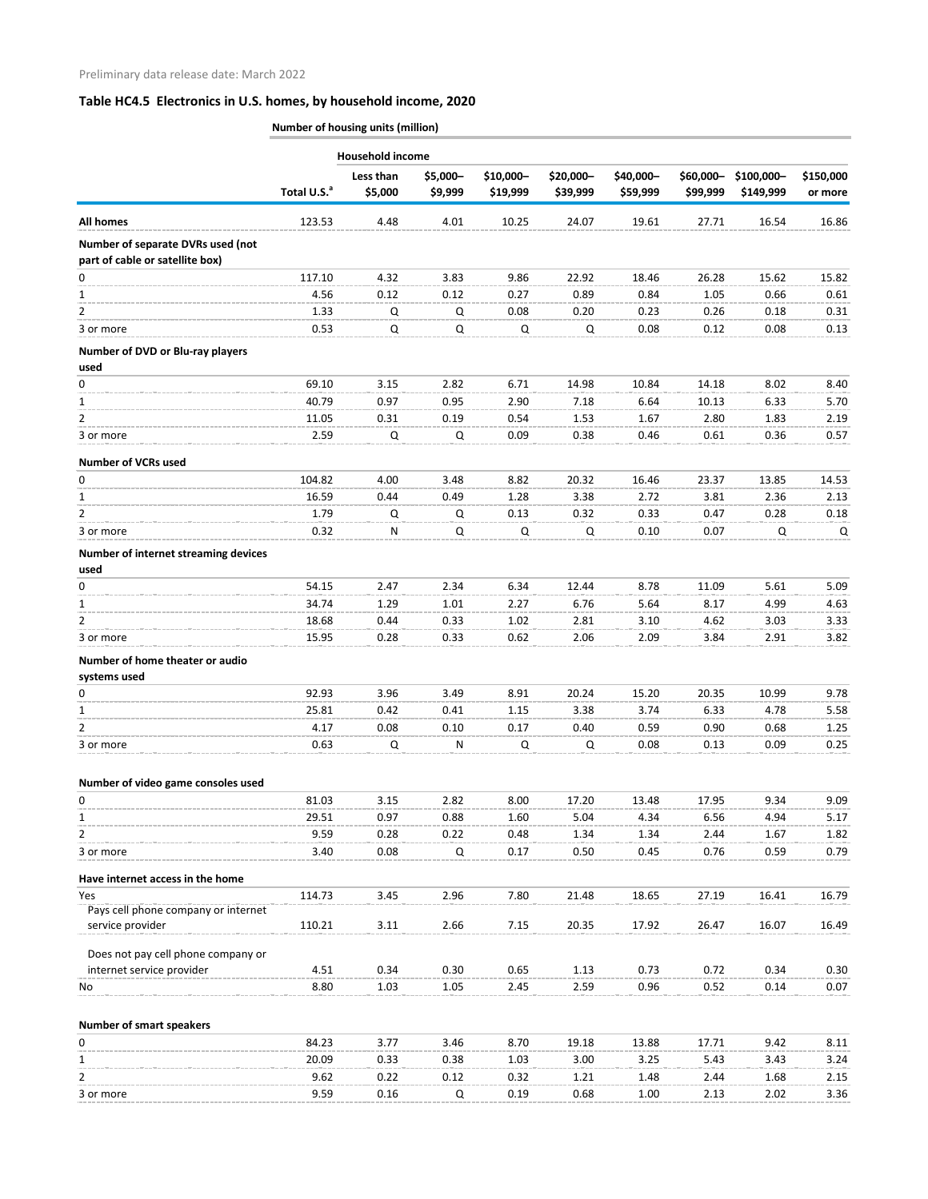|                                                                      |                         | <b>Household income</b> |                     |                       |                       |                       |                       |                         |                      |
|----------------------------------------------------------------------|-------------------------|-------------------------|---------------------|-----------------------|-----------------------|-----------------------|-----------------------|-------------------------|----------------------|
|                                                                      | Total U.S. <sup>a</sup> | Less than<br>\$5,000    | \$5,000-<br>\$9,999 | \$10,000-<br>\$19,999 | \$20,000-<br>\$39,999 | \$40,000-<br>\$59,999 | \$60,000-<br>\$99,999 | \$100,000-<br>\$149,999 | \$150,000<br>or more |
| <b>All homes</b>                                                     | 123.53                  | 4.48                    | 4.01                | 10.25                 | 24.07                 | 19.61                 | 27.71                 | 16.54                   | 16.86                |
| Number of separate DVRs used (not<br>part of cable or satellite box) |                         |                         |                     |                       |                       |                       |                       |                         |                      |
| 0                                                                    | 117.10                  | 4.32                    | 3.83                | 9.86                  | 22.92                 | 18.46                 | 26.28                 | 15.62                   | 15.82                |
| $\mathbf{1}$                                                         | 4.56                    | 0.12                    | 0.12                | 0.27                  | 0.89                  | 0.84                  | 1.05                  | 0.66                    | 0.61                 |
| $\overline{2}$                                                       | 1.33                    | Q                       | Q                   | 0.08                  | 0.20                  | 0.23                  | 0.26                  | 0.18                    | 0.31                 |
| 3 or more                                                            | 0.53                    | Q                       | Q                   | Q                     | Q                     | 0.08                  | 0.12                  | 0.08                    | 0.13                 |
| Number of DVD or Blu-ray players<br>used                             |                         |                         |                     |                       |                       |                       |                       |                         |                      |
| 0                                                                    | 69.10                   | 3.15                    | 2.82                | 6.71                  | 14.98                 | 10.84                 | 14.18                 | 8.02                    | 8.40                 |
| 1                                                                    | 40.79                   | 0.97                    | 0.95                | 2.90                  | 7.18                  | 6.64                  | 10.13                 | 6.33                    | 5.70                 |
| 2                                                                    | 11.05                   | 0.31                    | 0.19                | 0.54                  | 1.53                  | 1.67                  | 2.80                  | 1.83                    | 2.19                 |
| 3 or more                                                            | 2.59                    | Q                       | Q                   | 0.09                  | 0.38                  | 0.46                  | 0.61                  | 0.36                    | 0.57                 |
| <b>Number of VCRs used</b>                                           |                         |                         |                     |                       |                       |                       |                       |                         |                      |
| 0                                                                    | 104.82                  | 4.00                    | 3.48                | 8.82                  | 20.32                 | 16.46                 | 23.37                 | 13.85                   | 14.53                |
| 1                                                                    | 16.59                   | 0.44                    | 0.49                | 1.28                  | 3.38                  | 2.72                  | 3.81                  | 2.36                    | 2.13                 |
| 2                                                                    | 1.79                    | Q                       | Q                   | 0.13                  | 0.32                  | 0.33                  | 0.47                  | 0.28                    | 0.18                 |
| 3 or more                                                            | 0.32                    | N                       | Q                   | Q                     | Q                     | 0.10                  | 0.07                  | Q                       | Q                    |
| Number of internet streaming devices<br>used                         |                         |                         |                     |                       |                       |                       |                       |                         |                      |
| 0                                                                    | 54.15                   | 2.47                    | 2.34                | 6.34                  | 12.44                 | 8.78                  | 11.09                 | 5.61                    | 5.09                 |
| $\mathbf{1}$                                                         | 34.74                   | 1.29                    | 1.01                | 2.27                  | 6.76                  | 5.64                  | 8.17                  | 4.99                    | 4.63                 |
| $\overline{2}$                                                       | 18.68                   | 0.44                    | 0.33                | 1.02                  | 2.81                  | 3.10                  | 4.62                  | 3.03                    | 3.33                 |
| 3 or more                                                            | 15.95                   | 0.28                    | 0.33                | 0.62                  | 2.06                  | 2.09                  | 3.84                  | 2.91                    | 3.82                 |
| Number of home theater or audio<br>systems used                      |                         |                         |                     |                       |                       |                       |                       |                         |                      |
| 0                                                                    | 92.93                   | 3.96                    | 3.49                | 8.91                  | 20.24                 | 15.20                 | 20.35                 | 10.99                   | 9.78                 |
| $\mathbf{1}$                                                         | 25.81                   | 0.42                    | 0.41                | 1.15                  | 3.38                  | 3.74                  | 6.33                  | 4.78                    | 5.58                 |
| $\overline{2}$                                                       | 4.17                    | 0.08                    | 0.10                | 0.17                  | 0.40                  | 0.59                  | 0.90                  | 0.68                    | 1.25                 |
| 3 or more                                                            | 0.63                    | $\mathsf Q$             | N                   | Q                     | Q                     | 0.08                  | 0.13                  | 0.09                    | 0.25                 |
| Number of video game consoles used                                   |                         |                         |                     |                       |                       |                       |                       |                         |                      |
| 0                                                                    | 81.03                   | 3.15                    | 2.82                | 8.00                  | 17.20                 | 13.48                 | 17.95                 | 9.34                    | 9.09                 |
| $\mathbf{1}$                                                         | 29.51                   | 0.97                    | 0.88                | 1.60                  | 5.04                  | 4.34                  | 6.56                  | 4.94                    | 5.17                 |
| $\overline{2}$                                                       | 9.59                    | 0.28                    | 0.22                | 0.48                  | 1.34                  | 1.34                  | 2.44                  | 1.67                    | 1.82                 |
| 3 or more                                                            | 3.40                    | 0.08                    | Q                   | 0.17                  | 0.50                  | 0.45                  | 0.76                  | 0.59                    | 0.79                 |
| Have internet access in the home                                     |                         |                         |                     |                       |                       |                       |                       |                         |                      |
| Yes                                                                  | 114.73                  | 3.45                    | 2.96                | 7.80                  | 21.48                 | 18.65                 | 27.19                 | 16.41                   | 16.79                |
| Pays cell phone company or internet<br>service provider              | 110.21                  | 3.11                    | 2.66                | 7.15                  | 20.35                 | 17.92                 | 26.47                 | 16.07                   | 16.49                |
| Does not pay cell phone company or                                   |                         |                         |                     |                       |                       |                       |                       |                         |                      |
| internet service provider                                            | 4.51                    | 0.34                    | 0.30                | 0.65                  | 1.13                  | 0.73                  | 0.72                  | 0.34                    | 0.30                 |
| No                                                                   | 8.80                    | 1.03                    | 1.05                | 2.45                  | 2.59                  | 0.96                  | 0.52                  | 0.14                    | 0.07                 |
| <b>Number of smart speakers</b>                                      |                         |                         |                     |                       |                       |                       |                       |                         |                      |
| 0                                                                    | 84.23                   | 3.77                    | 3.46                | 8.70                  | 19.18                 | 13.88                 | 17.71                 | 9.42                    | 8.11                 |
| $\mathbf{1}$                                                         | 20.09                   | 0.33                    | 0.38                | 1.03                  | 3.00                  | 3.25                  | 5.43                  | 3.43                    | 3.24                 |
| $\overline{2}$                                                       | 9.62                    | 0.22                    | 0.12                | 0.32                  | 1.21                  | 1.48                  | 2.44                  | 1.68                    | 2.15                 |
| 3 or more                                                            | 9.59                    | 0.16                    | Q                   | 0.19                  | 0.68                  | 1.00                  | 2.13                  | 2.02                    | 3.36                 |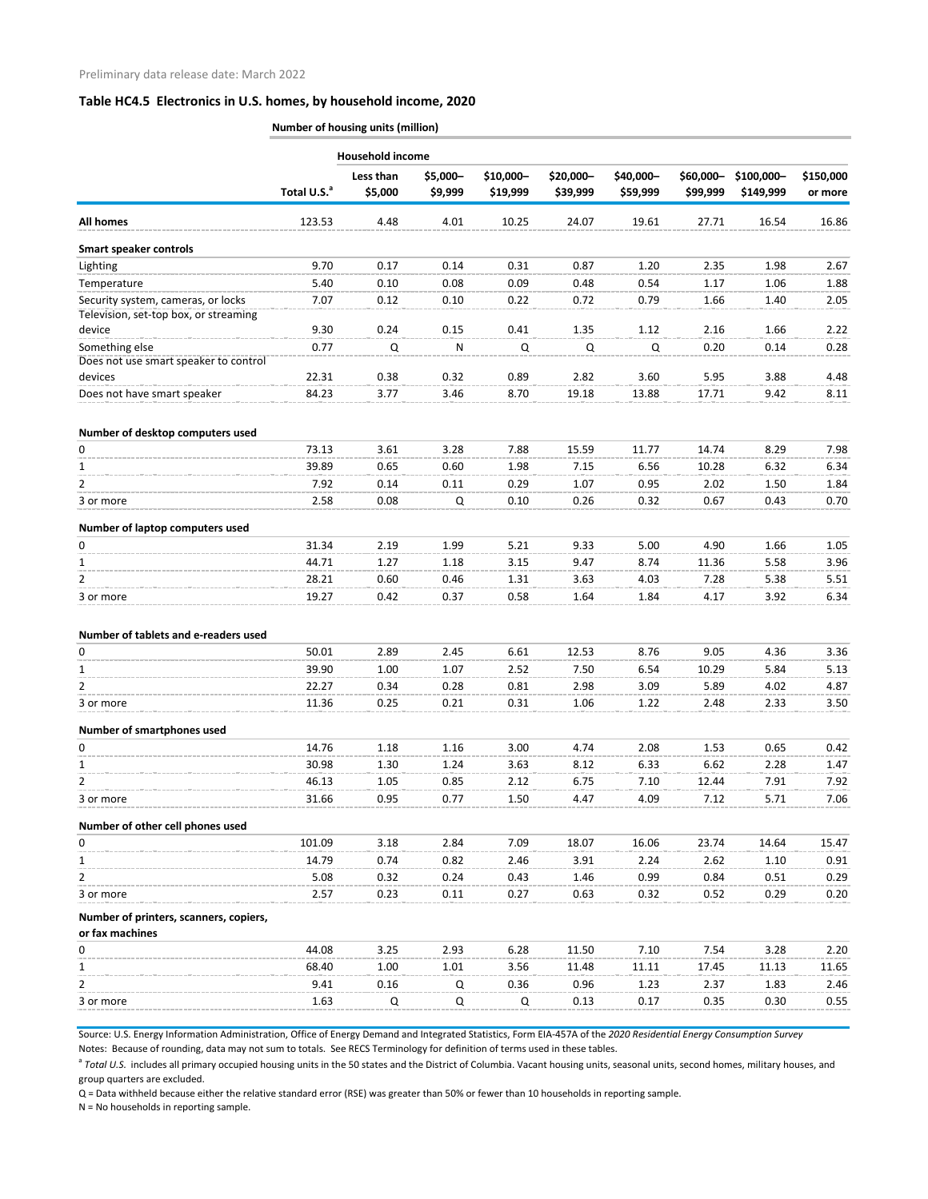|                                                           | Number of housing units (million) |                      |                     |                       |                       |                       |                       |                         |                      |
|-----------------------------------------------------------|-----------------------------------|----------------------|---------------------|-----------------------|-----------------------|-----------------------|-----------------------|-------------------------|----------------------|
|                                                           |                                   | Household income     |                     |                       |                       |                       |                       |                         |                      |
|                                                           | Total U.S. <sup>a</sup>           | Less than<br>\$5,000 | \$5,000-<br>\$9,999 | \$10,000-<br>\$19,999 | \$20,000-<br>\$39,999 | \$40,000-<br>\$59,999 | \$60,000-<br>\$99,999 | \$100,000-<br>\$149,999 | \$150,000<br>or more |
| All homes                                                 | 123.53                            | 4.48                 | 4.01                | 10.25                 | 24.07                 | 19.61                 | 27.71                 | 16.54                   | 16.86                |
| <b>Smart speaker controls</b>                             |                                   |                      |                     |                       |                       |                       |                       |                         |                      |
| Lighting                                                  | 9.70                              | 0.17                 | 0.14                | 0.31                  | 0.87                  | 1.20                  | 2.35                  | 1.98                    | 2.67                 |
| Temperature                                               | 5.40                              | 0.10                 | 0.08                | 0.09                  | 0.48                  | 0.54                  | 1.17                  | 1.06                    | 1.88                 |
| Security system, cameras, or locks                        | 7.07                              | 0.12                 | 0.10                | 0.22                  | 0.72                  | 0.79                  | 1.66                  | 1.40                    | 2.05                 |
| Television, set-top box, or streaming                     |                                   |                      |                     |                       |                       |                       |                       |                         |                      |
| device                                                    | 9.30                              | 0.24                 | 0.15                | 0.41                  | 1.35                  | 1.12                  | 2.16                  | 1.66                    | 2.22                 |
| Something else                                            | 0.77                              | Q                    | N                   | Q                     | Q                     | Q                     | 0.20                  | 0.14                    | 0.28                 |
| Does not use smart speaker to control                     |                                   |                      |                     |                       |                       |                       |                       |                         |                      |
| devices                                                   | 22.31                             | 0.38                 | 0.32                | 0.89                  | 2.82                  | 3.60                  | 5.95                  | 3.88                    | 4.48                 |
| Does not have smart speaker                               | 84.23                             | 3.77                 | 3.46                | 8.70                  | 19.18                 | 13.88                 | 17.71                 | 9.42                    | 8.11                 |
| Number of desktop computers used                          |                                   |                      |                     |                       |                       |                       |                       |                         |                      |
| 0                                                         | 73.13                             | 3.61                 | 3.28                | 7.88                  | 15.59                 | 11.77                 | 14.74                 | 8.29                    | 7.98                 |
| $\mathbf{1}$                                              | 39.89                             | 0.65                 | 0.60                | 1.98                  | 7.15                  | 6.56                  | 10.28                 | 6.32                    | 6.34                 |
| $\overline{2}$                                            | 7.92                              | 0.14                 | 0.11                | 0.29                  | 1.07                  | 0.95                  | 2.02                  | 1.50                    | 1.84                 |
| 3 or more                                                 | 2.58                              | 0.08                 | Q                   | 0.10                  | 0.26                  | 0.32                  | 0.67                  | 0.43                    | 0.70                 |
| Number of laptop computers used                           |                                   |                      |                     |                       |                       |                       |                       |                         |                      |
| 0                                                         | 31.34                             | 2.19                 | 1.99                | 5.21                  | 9.33                  | 5.00                  | 4.90                  | 1.66                    | 1.05                 |
| $\mathbf{1}$                                              | 44.71                             | 1.27                 | 1.18                | 3.15                  | 9.47                  | 8.74                  | 11.36                 | 5.58                    | 3.96                 |
| $\overline{2}$                                            | 28.21                             | 0.60                 | 0.46                | 1.31                  | 3.63                  | 4.03                  | 7.28                  | 5.38                    | 5.51                 |
| 3 or more                                                 | 19.27                             | 0.42                 | 0.37                | 0.58                  | 1.64                  | 1.84                  | 4.17                  | 3.92                    | 6.34                 |
| Number of tablets and e-readers used                      |                                   |                      |                     |                       |                       |                       |                       |                         |                      |
| <sup>n</sup>                                              | 50.01                             | 2.89                 | 2.45                | 6.61                  | 12.53                 | 8.76                  | 9.05                  | 4.36                    | 3.36                 |
| 1                                                         | 39.90                             | 1.00                 | 1.07                | 2.52                  | 7.50                  | 6.54                  | 10.29                 | 5.84                    | 5.13                 |
| $\overline{2}$                                            | 22.27                             | 0.34                 | 0.28                | 0.81                  | 2.98                  | 3.09                  | 5.89                  | 4.02                    | 4.87                 |
| 3 or more                                                 | 11.36                             | 0.25                 | 0.21                | 0.31                  | 1.06                  | 1.22                  | 2.48                  | 2.33                    | 3.50                 |
| Number of smartphones used                                |                                   |                      |                     |                       |                       |                       |                       |                         |                      |
| $\mathbf 0$                                               | 14.76                             | 1.18                 | 1.16                | 3.00                  | 4.74                  | 2.08                  | 1.53                  | 0.65                    | 0.42                 |
| 1                                                         | 30.98                             | 1.30                 | 1.24                | 3.63                  | 8.12                  | 6.33                  | 6.62                  | 2.28                    | 1.47                 |
| 2                                                         | 46.13                             | 1.05                 | 0.85                | 2.12                  | 6.75                  | 7.10                  | 12.44                 | 7.91                    | 7.92                 |
| 3 or more                                                 | 31.66                             | 0.95                 | 0.77                | 1.50                  | 4.47                  | 4.09                  | 7.12                  | 5.71                    | 7.06                 |
| Number of other cell phones used                          |                                   |                      |                     |                       |                       |                       |                       |                         |                      |
| 0                                                         | 101.09                            | 3.18                 | 2.84                | 7.09                  | 18.07                 | 16.06                 | 23.74                 | 14.64                   | 15.47                |
| 1                                                         | 14.79                             | 0.74                 | 0.82                | 2.46                  | 3.91                  | 2.24                  | 2.62                  | 1.10                    | 0.91                 |
| $\overline{2}$                                            | 5.08                              | 0.32                 | 0.24                | 0.43                  | 1.46                  | 0.99                  | 0.84                  | 0.51                    | 0.29                 |
| 3 or more                                                 | 2.57                              | 0.23                 | 0.11                | 0.27                  | 0.63                  | 0.32                  | 0.52                  | 0.29                    | 0.20                 |
|                                                           |                                   |                      |                     |                       |                       |                       |                       |                         |                      |
| Number of printers, scanners, copiers,<br>or fax machines |                                   |                      |                     |                       |                       |                       |                       |                         |                      |
| 0                                                         | 44.08                             | 3.25                 | 2.93                | 6.28                  | 11.50                 | 7.10                  | 7.54                  | 3.28                    | 2.20                 |
| 1                                                         | 68.40                             | 1.00                 | 1.01                | 3.56                  | 11.48                 | 11.11                 | 17.45                 | 11.13                   | 11.65                |
| $\overline{2}$                                            | 9.41                              | 0.16                 | Q                   | 0.36                  | 0.96                  | 1.23                  | 2.37                  | 1.83                    | 2.46                 |
| 3 or more                                                 | 1.63                              | Q                    | Q                   | Q                     | 0.13                  | 0.17                  | 0.35                  | 0.30                    | 0.55                 |

Source: U.S. Energy Information Administration, Office of Energy Demand and Integrated Statistics, Form EIA-457A of the *2020 Residential Energy Consumption Survey*

Notes: Because of rounding, data may not sum to totals. See RECS Terminology for definition of terms used in these tables.

<sup>a</sup> Total U.S. includes all primary occupied housing units in the 50 states and the District of Columbia. Vacant housing units, seasonal units, second homes, military houses, and group quarters are excluded.

Q = Data withheld because either the relative standard error (RSE) was greater than 50% or fewer than 10 households in reporting sample.

N = No households in reporting sample.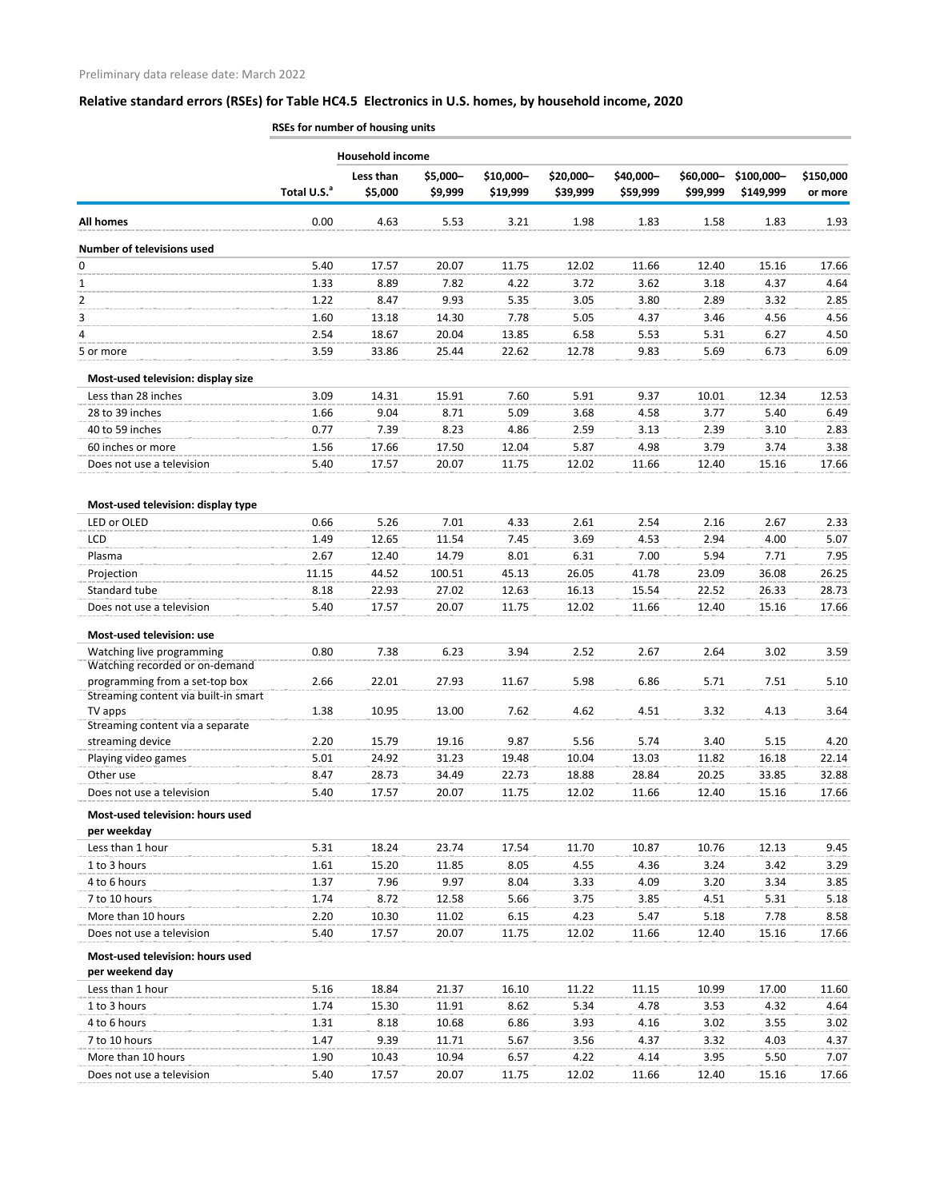|                                                             | RSEs for number of housing units |                         |                     |                       |                       |                       |                       |                         |                      |
|-------------------------------------------------------------|----------------------------------|-------------------------|---------------------|-----------------------|-----------------------|-----------------------|-----------------------|-------------------------|----------------------|
|                                                             |                                  | <b>Household income</b> |                     |                       |                       |                       |                       |                         |                      |
|                                                             | Total U.S. <sup>a</sup>          | Less than<br>\$5,000    | \$5,000-<br>\$9,999 | \$10,000-<br>\$19,999 | \$20,000-<br>\$39,999 | \$40,000-<br>\$59,999 | \$60,000-<br>\$99,999 | \$100,000-<br>\$149,999 | \$150,000<br>or more |
| All homes                                                   | 0.00                             | 4.63                    | 5.53                | 3.21                  | 1.98                  | 1.83                  | 1.58                  | 1.83                    | 1.93                 |
| <b>Number of televisions used</b>                           |                                  |                         |                     |                       |                       |                       |                       |                         |                      |
| 0                                                           | 5.40                             | 17.57                   | 20.07               | 11.75                 | 12.02                 | 11.66                 | 12.40                 | 15.16                   | 17.66                |
| 1                                                           | 1.33                             | 8.89                    | 7.82                | 4.22                  | 3.72                  | 3.62                  | 3.18                  | 4.37                    | 4.64                 |
| 2                                                           | 1.22                             | 8.47                    | 9.93                | 5.35                  | 3.05                  | 3.80                  | 2.89                  | 3.32                    | 2.85                 |
| 3                                                           | 1.60                             | 13.18                   | 14.30               | 7.78                  | 5.05                  | 4.37                  | 3.46                  | 4.56                    | 4.56                 |
| 4                                                           | 2.54                             | 18.67                   | 20.04               | 13.85                 | 6.58                  | 5.53                  | 5.31                  | 6.27                    | 4.50                 |
| 5 or more                                                   | 3.59                             | 33.86                   | 25.44               | 22.62                 | 12.78                 | 9.83                  | 5.69                  | 6.73                    | 6.09                 |
| Most-used television: display size                          |                                  |                         |                     |                       |                       |                       |                       |                         |                      |
| Less than 28 inches                                         | 3.09                             | 14.31                   | 15.91               | 7.60                  | 5.91                  | 9.37                  | 10.01                 | 12.34                   | 12.53                |
| 28 to 39 inches                                             | 1.66                             | 9.04                    | 8.71                | 5.09                  | 3.68                  | 4.58                  | 3.77                  | 5.40                    | 6.49                 |
| 40 to 59 inches                                             | 0.77                             | 7.39                    | 8.23                | 4.86                  | 2.59                  | 3.13                  | 2.39                  | 3.10                    | 2.83                 |
| 60 inches or more                                           | 1.56                             | 17.66                   | 17.50               | 12.04                 | 5.87                  | 4.98                  | 3.79                  | 3.74                    | 3.38                 |
| Does not use a television                                   | 5.40                             | 17.57                   | 20.07               | 11.75                 | 12.02                 | 11.66                 | 12.40                 | 15.16                   | 17.66                |
|                                                             |                                  |                         |                     |                       |                       |                       |                       |                         |                      |
| Most-used television: display type                          | 0.66                             |                         | 7.01                |                       |                       |                       |                       | 2.67                    |                      |
| LED or OLED<br>LCD                                          | 1.49                             | 5.26<br>12.65           | 11.54               | 4.33<br>7.45          | 2.61<br>3.69          | 2.54<br>4.53          | 2.16<br>2.94          | 4.00                    | 2.33<br>5.07         |
| Plasma                                                      | 2.67                             | 12.40                   | 14.79               | 8.01                  | 6.31                  | 7.00                  | 5.94                  | 7.71                    | 7.95                 |
|                                                             | 11.15                            | 44.52                   | 100.51              | 45.13                 | 26.05                 | 41.78                 | 23.09                 | 36.08                   | 26.25                |
| Projection<br>Standard tube                                 | 8.18                             | 22.93                   | 27.02               | 12.63                 | 16.13                 | 15.54                 | 22.52                 | 26.33                   | 28.73                |
| Does not use a television                                   | 5.40                             | 17.57                   | 20.07               | 11.75                 |                       | 11.66                 |                       |                         |                      |
|                                                             |                                  |                         |                     |                       | 12.02                 |                       | 12.40                 | 15.16                   | 17.66                |
| Most-used television: use                                   | 0.80                             | 7.38                    | 6.23                | 3.94                  | 2.52                  | 2.67                  | 2.64                  | 3.02                    | 3.59                 |
| Watching live programming<br>Watching recorded or on-demand |                                  |                         |                     |                       |                       |                       |                       |                         |                      |
| programming from a set-top box                              | 2.66                             | 22.01                   | 27.93               | 11.67                 | 5.98                  | 6.86                  | 5.71                  | 7.51                    | 5.10                 |
| Streaming content via built-in smart                        |                                  |                         |                     |                       |                       |                       |                       |                         |                      |
| TV apps<br>Streaming content via a separate                 | 1.38                             | 10.95                   | 13.00               | 7.62                  | 4.62                  | 4.51                  | 3.32                  | 4.13                    | 3.64                 |
| streaming device                                            | 2.20                             | 15.79                   | 19.16               | 9.87                  | 5.56                  | 5.74                  | 3.40                  | 5.15                    | 4.20                 |
| Playing video games                                         | 5.01                             | 24.92                   | 31.23               | 19.48                 | 10.04                 | 13.03                 | 11.82                 | 16.18                   | 22.14                |
| Other use                                                   | 8.47                             | 28.73                   | 34.49               | 22.73                 | 18.88                 | 28.84                 | 20.25                 | 33.85                   | 32.88                |
| Does not use a television                                   | 5.40                             | 17.57                   | 20.07               | 11.75                 | 12.02                 | 11.66                 | 12.40                 | 15.16                   | 17.66                |
| Most-used television: hours used                            |                                  |                         |                     |                       |                       |                       |                       |                         |                      |
| per weekday                                                 |                                  |                         |                     |                       |                       |                       |                       |                         |                      |
| Less than 1 hour                                            | 5.31                             | 18.24                   | 23.74               | 17.54                 | 11.70                 | 10.87                 | 10.76                 | 12.13                   | 9.45                 |
| 1 to 3 hours                                                | 1.61                             | 15.20                   | 11.85               | 8.05                  | 4.55                  | 4.36                  | 3.24                  | 3.42                    | 3.29                 |
| 4 to 6 hours                                                | 1.37                             | 7.96                    | 9.97                | 8.04                  | 3.33                  | 4.09                  | 3.20                  | 3.34                    | 3.85                 |
| 7 to 10 hours                                               | 1.74                             | 8.72                    | 12.58               | 5.66                  | 3.75                  | 3.85                  | 4.51                  | 5.31                    | 5.18                 |
| More than 10 hours                                          | 2.20                             | 10.30                   | 11.02               | 6.15                  | 4.23                  | 5.47                  | 5.18                  | 7.78                    | 8.58                 |
| Does not use a television                                   | 5.40                             | 17.57                   | 20.07               | 11.75                 | 12.02                 | 11.66                 | 12.40                 | 15.16                   | 17.66                |
| Most-used television: hours used<br>per weekend day         |                                  |                         |                     |                       |                       |                       |                       |                         |                      |
| Less than 1 hour                                            | 5.16                             | 18.84                   | 21.37               | 16.10                 | 11.22                 | 11.15                 | 10.99                 | 17.00                   | 11.60                |
| 1 to 3 hours                                                | 1.74                             | 15.30                   | 11.91               | 8.62                  | 5.34                  | 4.78                  | 3.53                  | 4.32                    | 4.64                 |
| 4 to 6 hours                                                | 1.31                             | 8.18                    | 10.68               | 6.86                  | 3.93                  | 4.16                  | 3.02                  | 3.55                    | 3.02                 |
| 7 to 10 hours                                               | 1.47                             | 9.39                    | 11.71               | 5.67                  | 3.56                  | 4.37                  | 3.32                  | 4.03                    | 4.37                 |
| More than 10 hours                                          | 1.90                             | 10.43                   | 10.94               | 6.57                  | 4.22                  | 4.14                  | 3.95                  | 5.50                    | 7.07                 |
| Does not use a television                                   | 5.40                             | 17.57                   | 20.07               | 11.75                 | 12.02                 | 11.66                 | 12.40                 | 15.16                   | 17.66                |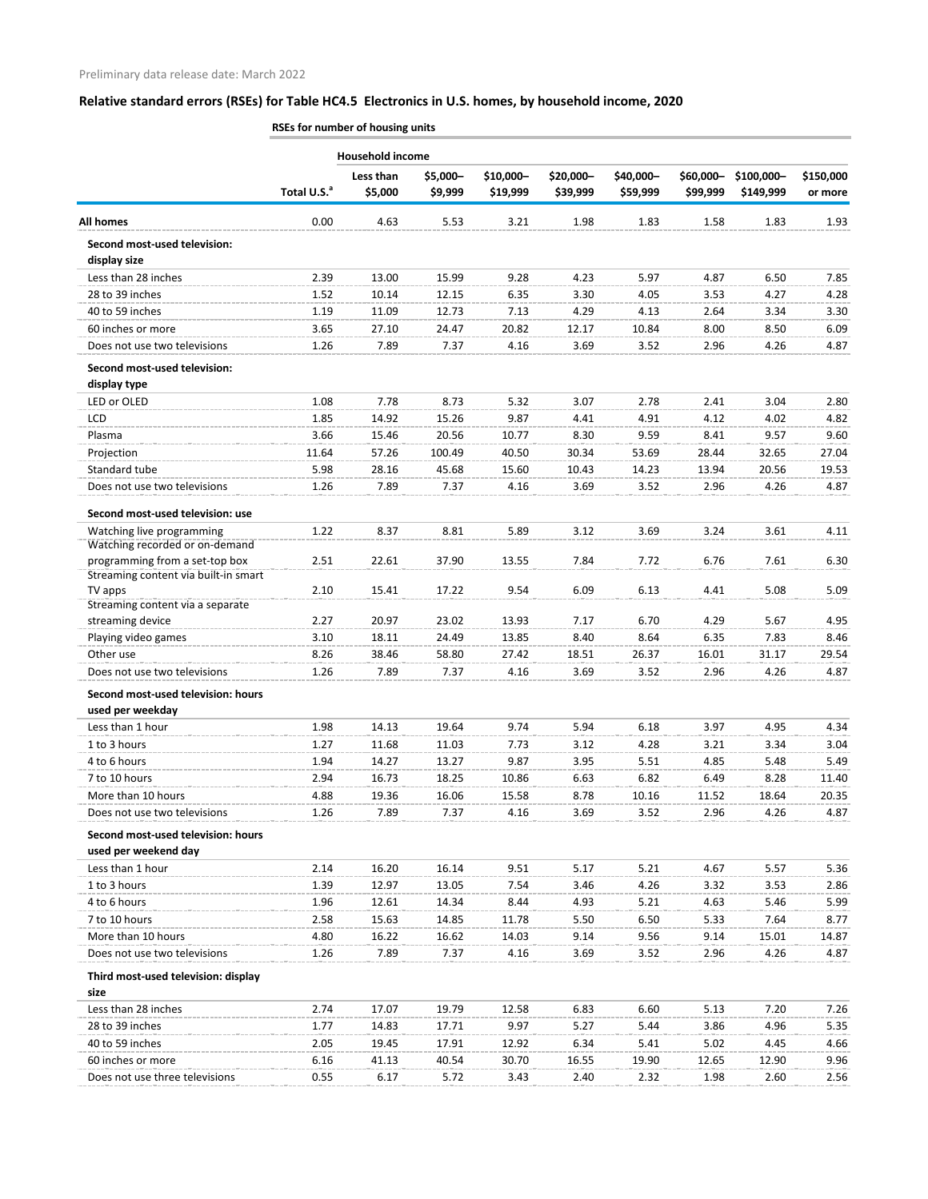L.

i.

m.

à. L.

ò, ò,

ù.

#### **Relative standard errors (RSEs) for Table HC4.5 Electronics in U.S. homes, by household income, 2020**

**\$150,000 or more**

|                                                                        |                         | <b>Household income</b> |          |           |           |           |           |            |           |
|------------------------------------------------------------------------|-------------------------|-------------------------|----------|-----------|-----------|-----------|-----------|------------|-----------|
|                                                                        |                         | Less than               | \$5,000- | \$10,000- | \$20,000- | \$40,000- | \$60,000- | \$100,000- | \$150,000 |
|                                                                        | Total U.S. <sup>a</sup> | \$5,000                 | \$9,999  | \$19,999  | \$39,999  | \$59,999  | \$99,999  | \$149,999  | or more   |
| All homes                                                              | 0.00                    | 4.63                    | 5.53     | 3.21      | 1.98      | 1.83      | 1.58      | 1.83       | 1.93      |
| Second most-used television:                                           |                         |                         |          |           |           |           |           |            |           |
| display size                                                           |                         |                         |          |           |           |           |           |            |           |
| Less than 28 inches                                                    | 2.39                    | 13.00                   | 15.99    | 9.28      | 4.23      | 5.97      | 4.87      | 6.50       | 7.85      |
| 28 to 39 inches                                                        | 1.52                    | 10.14                   | 12.15    | 6.35      | 3.30      | 4.05      | 3.53      | 4.27       | 4.28      |
| 40 to 59 inches                                                        | 1.19                    | 11.09                   | 12.73    | 7.13      | 4.29      | 4.13      | 2.64      | 3.34       | 3.30      |
| 60 inches or more                                                      | 3.65                    | 27.10                   | 24.47    | 20.82     | 12.17     | 10.84     | 8.00      | 8.50       | 6.09      |
| Does not use two televisions                                           | 1.26                    | 7.89                    | 7.37     | 4.16      | 3.69      | 3.52      | 2.96      | 4.26       | 4.87      |
| Second most-used television:                                           |                         |                         |          |           |           |           |           |            |           |
| display type                                                           |                         |                         |          |           |           |           |           |            |           |
| LED or OLED                                                            | 1.08                    | 7.78                    | 8.73     | 5.32      | 3.07      | 2.78      | 2.41      | 3.04       | 2.80      |
| LCD                                                                    | 1.85                    | 14.92                   | 15.26    | 9.87      | 4.41      | 4.91      | 4.12      | 4.02       | 4.82      |
| Plasma                                                                 | 3.66                    | 15.46                   | 20.56    | 10.77     | 8.30      | 9.59      | 8.41      | 9.57       | 9.60      |
| Projection                                                             | 11.64                   | 57.26                   | 100.49   | 40.50     | 30.34     | 53.69     | 28.44     | 32.65      | 27.04     |
| Standard tube                                                          | 5.98                    | 28.16                   | 45.68    | 15.60     | 10.43     | 14.23     | 13.94     | 20.56      | 19.53     |
| Does not use two televisions                                           | 1.26                    | 7.89                    | 7.37     | 4.16      | 3.69      | 3.52      | 2.96      | 4.26       | 4.87      |
| Second most-used television: use                                       |                         |                         |          |           |           |           |           |            |           |
| Watching live programming                                              | 1.22                    | 8.37                    | 8.81     | 5.89      | 3.12      | 3.69      | 3.24      | 3.61       | 4.11      |
| Watching recorded or on-demand                                         |                         |                         |          |           |           |           |           |            |           |
| programming from a set-top box<br>Streaming content via built-in smart | 2.51                    | 22.61                   | 37.90    | 13.55     | 7.84      | 7.72      | 6.76      | 7.61       | 6.30      |
| TV apps                                                                | 2.10                    | 15.41                   | 17.22    | 9.54      | 6.09      | 6.13      | 4.41      | 5.08       | 5.09      |
| Streaming content via a separate                                       |                         |                         |          |           |           |           |           |            |           |
| streaming device                                                       | 2.27                    | 20.97                   | 23.02    | 13.93     | 7.17      | 6.70      | 4.29      | 5.67       | 4.95      |
| Playing video games                                                    | 3.10                    | 18.11                   | 24.49    | 13.85     | 8.40      | 8.64      | 6.35      | 7.83       | 8.46      |
| Other use                                                              | 8.26                    | 38.46                   | 58.80    | 27.42     | 18.51     | 26.37     | 16.01     | 31.17      | 29.54     |
| Does not use two televisions                                           | 1.26                    | 7.89                    | 7.37     | 4.16      | 3.69      | 3.52      | 2.96      | 4.26       | 4.87      |
| Second most-used television: hours<br>used per weekday                 |                         |                         |          |           |           |           |           |            |           |
| Less than 1 hour                                                       | 1.98                    | 14.13                   | 19.64    | 9.74      | 5.94      | 6.18      | 3.97      | 4.95       | 4.34      |
| 1 to 3 hours                                                           | 1.27                    | 11.68                   | 11.03    | 7.73      | 3.12      | 4.28      | 3.21      | 3.34       | 3.04      |
| 4 to 6 hours                                                           | 1.94                    | 14.27                   | 13.27    | 9.87      | 3.95      | 5.51      | 4.85      | 5.48       | 5.49      |
| 7 to 10 hours                                                          | 2.94                    | 16.73                   | 18.25    | 10.86     | 6.63      | 6.82      | 6.49      | 8.28       | 11.40     |
| More than 10 hours                                                     | 4.88                    | 19.36                   | 16.06    | 15.58     | 8.78      | 10.16     | 11.52     | 18.64      | 20.35     |
| Does not use two televisions                                           | 1.26                    | 7.89                    | 7.37     | 4.16      | 3.69      | 3.52      | 2.96      | 4.26       | 4.87      |
| Second most-used television: hours                                     |                         |                         |          |           |           |           |           |            |           |
| used per weekend day                                                   |                         |                         |          |           |           |           |           |            |           |
| Less than 1 hour                                                       | 2.14                    | 16.20                   | 16.14    | 9.51      | 5.17      | 5.21      | 4.67      | 5.57       | 5.36      |
| 1 to 3 hours                                                           | 1.39                    | 12.97                   | 13.05    | 7.54      | 3.46      | 4.26      | 3.32      | 3.53       | 2.86      |
| 4 to 6 hours                                                           | 1.96                    | 12.61                   | 14.34    | 8.44      | 4.93      | 5.21      | 4.63      | 5.46       | 5.99      |
| 7 to 10 hours                                                          | 2.58                    | 15.63                   | 14.85    | 11.78     | 5.50      | 6.50      | 5.33      | 7.64       | 8.77      |
| More than 10 hours                                                     | 4.80                    | 16.22                   | 16.62    | 14.03     | 9.14      | 9.56      | 9.14      | 15.01      | 14.87     |
| Does not use two televisions                                           | 1.26                    | 7.89                    | 7.37     | 4.16      | 3.69      | 3.52      | 2.96      | 4.26       | 4.87      |
| Third most-used television: display                                    |                         |                         |          |           |           |           |           |            |           |
| size                                                                   |                         |                         |          |           |           |           |           |            |           |
| Less than 28 inches                                                    | 2.74                    | 17.07                   | 19.79    | 12.58     | 6.83      | 6.60      | 5.13      | 7.20       | 7.26      |
| 28 to 39 inches                                                        | 1.77                    | 14.83                   | 17.71    | 9.97      | 5.27      | 5.44      | 3.86      | 4.96       | 5.35      |

40 to 59 inches 2.05 19.45 17.91 12.92 6.34 5.41 5.02 4.45 4.66 60 inches or more 6.16 41.13 40.54 30.70 16.55 19.90 12.65 12.90 9.96 Does not use three televisions 0.55 6.17 5.72 3.43 2.40 2.32 1.98 2.60 2.56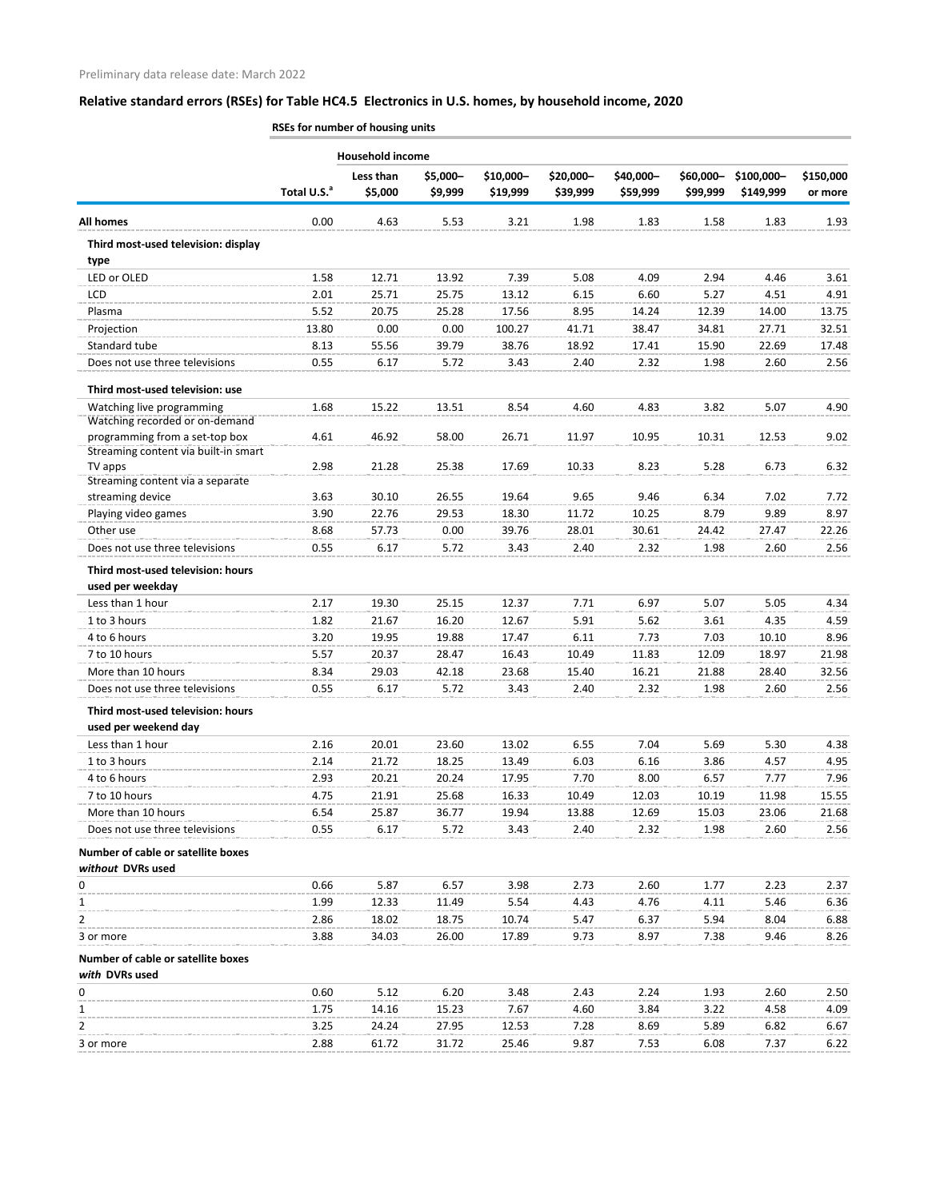**RSEs for number of housing units**

|                                                                        | <b>Household income</b> |                      |                     |                       |                       |                       |                       |                         |                      |  |
|------------------------------------------------------------------------|-------------------------|----------------------|---------------------|-----------------------|-----------------------|-----------------------|-----------------------|-------------------------|----------------------|--|
|                                                                        | Total U.S. <sup>a</sup> | Less than<br>\$5,000 | \$5,000-<br>\$9,999 | \$10,000-<br>\$19,999 | \$20,000-<br>\$39,999 | \$40,000-<br>\$59,999 | \$60,000-<br>\$99,999 | \$100,000-<br>\$149,999 | \$150,000<br>or more |  |
| <b>All homes</b>                                                       | 0.00                    | 4.63                 | 5.53                | 3.21                  | 1.98                  | 1.83                  | 1.58                  | 1.83                    | 1.93                 |  |
| Third most-used television: display<br>type                            |                         |                      |                     |                       |                       |                       |                       |                         |                      |  |
| LED or OLED                                                            | 1.58                    | 12.71                | 13.92               | 7.39                  | 5.08                  | 4.09                  | 2.94                  | 4.46                    | 3.61                 |  |
| LCD                                                                    | 2.01                    | 25.71                | 25.75               | 13.12                 | 6.15                  | 6.60                  | 5.27                  | 4.51                    | 4.91                 |  |
| Plasma                                                                 | 5.52                    | 20.75                | 25.28               | 17.56                 | 8.95                  | 14.24                 | 12.39                 | 14.00                   | 13.75                |  |
| Projection                                                             | 13.80                   | 0.00                 | 0.00                | 100.27                | 41.71                 | 38.47                 | 34.81                 | 27.71                   | 32.51                |  |
| Standard tube                                                          | 8.13                    | 55.56                | 39.79               | 38.76                 | 18.92                 | 17.41                 | 15.90                 | 22.69                   | 17.48                |  |
| Does not use three televisions                                         | 0.55                    | 6.17                 | 5.72                | 3.43                  | 2.40                  | 2.32                  | 1.98                  | 2.60                    | 2.56                 |  |
| Third most-used television: use                                        |                         |                      |                     |                       |                       |                       |                       |                         |                      |  |
| Watching live programming<br>Watching recorded or on-demand            | 1.68                    | 15.22                | 13.51               | 8.54                  | 4.60                  | 4.83                  | 3.82                  | 5.07                    | 4.90                 |  |
| programming from a set-top box<br>Streaming content via built-in smart | 4.61                    | 46.92                | 58.00               | 26.71                 | 11.97                 | 10.95                 | 10.31                 | 12.53                   | 9.02                 |  |
| TV apps<br>Streaming content via a separate                            | 2.98                    | 21.28                | 25.38               | 17.69                 | 10.33                 | 8.23                  | 5.28                  | 6.73                    | 6.32                 |  |
| streaming device                                                       | 3.63                    | 30.10                | 26.55               | 19.64                 | 9.65                  | 9.46                  | 6.34                  | 7.02                    | 7.72                 |  |
| Playing video games                                                    | 3.90                    | 22.76                | 29.53               | 18.30                 | 11.72                 | 10.25                 | 8.79                  | 9.89                    | 8.97                 |  |
| Other use                                                              | 8.68                    | 57.73                | 0.00                | 39.76                 | 28.01                 | 30.61                 | 24.42                 | 27.47                   | 22.26                |  |
| Does not use three televisions                                         | 0.55                    | 6.17                 | 5.72                | 3.43                  | 2.40                  | 2.32                  | 1.98                  | 2.60                    | 2.56                 |  |
| Third most-used television: hours<br>used per weekday                  |                         |                      |                     |                       |                       |                       |                       |                         |                      |  |
| Less than 1 hour                                                       | 2.17                    | 19.30                | 25.15               | 12.37                 | 7.71                  | 6.97                  | 5.07                  | 5.05                    | 4.34                 |  |
| 1 to 3 hours                                                           | 1.82                    | 21.67                | 16.20               | 12.67                 | 5.91                  | 5.62                  | 3.61                  | 4.35                    | 4.59                 |  |
| 4 to 6 hours                                                           | 3.20                    | 19.95                | 19.88               | 17.47                 | 6.11                  | 7.73                  | 7.03                  | 10.10                   | 8.96                 |  |
| 7 to 10 hours                                                          | 5.57                    | 20.37                | 28.47               | 16.43                 | 10.49                 | 11.83                 | 12.09                 | 18.97                   | 21.98                |  |
| More than 10 hours                                                     | 8.34                    | 29.03                | 42.18               | 23.68                 | 15.40                 | 16.21                 | 21.88                 | 28.40                   | 32.56                |  |
| Does not use three televisions                                         | 0.55                    | 6.17                 | 5.72                | 3.43                  | 2.40                  | 2.32                  | 1.98                  | 2.60                    | 2.56                 |  |
| Third most-used television: hours                                      |                         |                      |                     |                       |                       |                       |                       |                         |                      |  |
| used per weekend day                                                   |                         |                      |                     |                       |                       |                       |                       |                         |                      |  |
| Less than 1 hour                                                       | 2.16                    | 20.01                | 23.60               | 13.02                 | 6.55                  | 7.04                  | 5.69                  | 5.30                    | 4.38                 |  |
| 1 to 3 hours                                                           | 2.14                    | 21.72                | 18.25               | 13.49                 | 6.03                  | 6.16                  | 3.86                  | 4.57                    | 4.95                 |  |
| 4 to 6 hours                                                           | 2.93                    | 20.21                | 20.24               | 17.95                 | 7.70                  | 8.00                  | 6.57                  | 7.77                    | 7.96                 |  |
| 7 to 10 hours                                                          | 4.75                    | 21.91                | 25.68               | 16.33                 | 10.49                 | 12.03                 | 10.19                 | 11.98                   | 15.55                |  |
| More than 10 hours                                                     | 6.54                    | 25.87                | 36.77               | 19.94                 | 13.88                 | 12.69                 | 15.03                 | 23.06                   | 21.68                |  |
| Does not use three televisions                                         | 0.55                    | 6.17                 | 5.72                | 3.43                  | 2.40                  | 2.32                  | 1.98                  | 2.60                    | 2.56                 |  |
| Number of cable or satellite boxes<br>without DVRs used                |                         |                      |                     |                       |                       |                       |                       |                         |                      |  |
| 0                                                                      | 0.66                    | 5.87                 | 6.57                | 3.98                  | 2.73                  | 2.60                  | 1.77                  | 2.23                    | 2.37                 |  |
| 1                                                                      | 1.99                    | 12.33                | 11.49               | 5.54                  | 4.43                  | 4.76                  | 4.11                  | 5.46                    | 6.36                 |  |
| $\overline{2}$                                                         | 2.86                    | 18.02                | 18.75               | 10.74                 | 5.47                  | 6.37                  | 5.94                  | 8.04                    | 6.88                 |  |
| 3 or more                                                              | 3.88                    | 34.03                | 26.00               | 17.89                 | 9.73                  | 8.97                  | 7.38                  | 9.46                    | 8.26                 |  |
| Number of cable or satellite boxes<br>with DVRs used                   |                         |                      |                     |                       |                       |                       |                       |                         |                      |  |
| 0                                                                      | 0.60                    | 5.12                 | 6.20                | 3.48                  | 2.43                  | 2.24                  | 1.93                  | 2.60                    | 2.50                 |  |
| 1                                                                      | 1.75                    | 14.16                | 15.23               | 7.67                  | 4.60                  | 3.84                  | 3.22                  | 4.58                    | 4.09                 |  |
| 2                                                                      | 3.25                    | 24.24                | 27.95               | 12.53                 | 7.28                  | 8.69                  | 5.89                  | 6.82                    | 6.67                 |  |
| 3 or more                                                              | 2.88                    | 61.72                | 31.72               | 25.46                 | 9.87                  | 7.53                  | 6.08                  | 7.37                    | 6.22                 |  |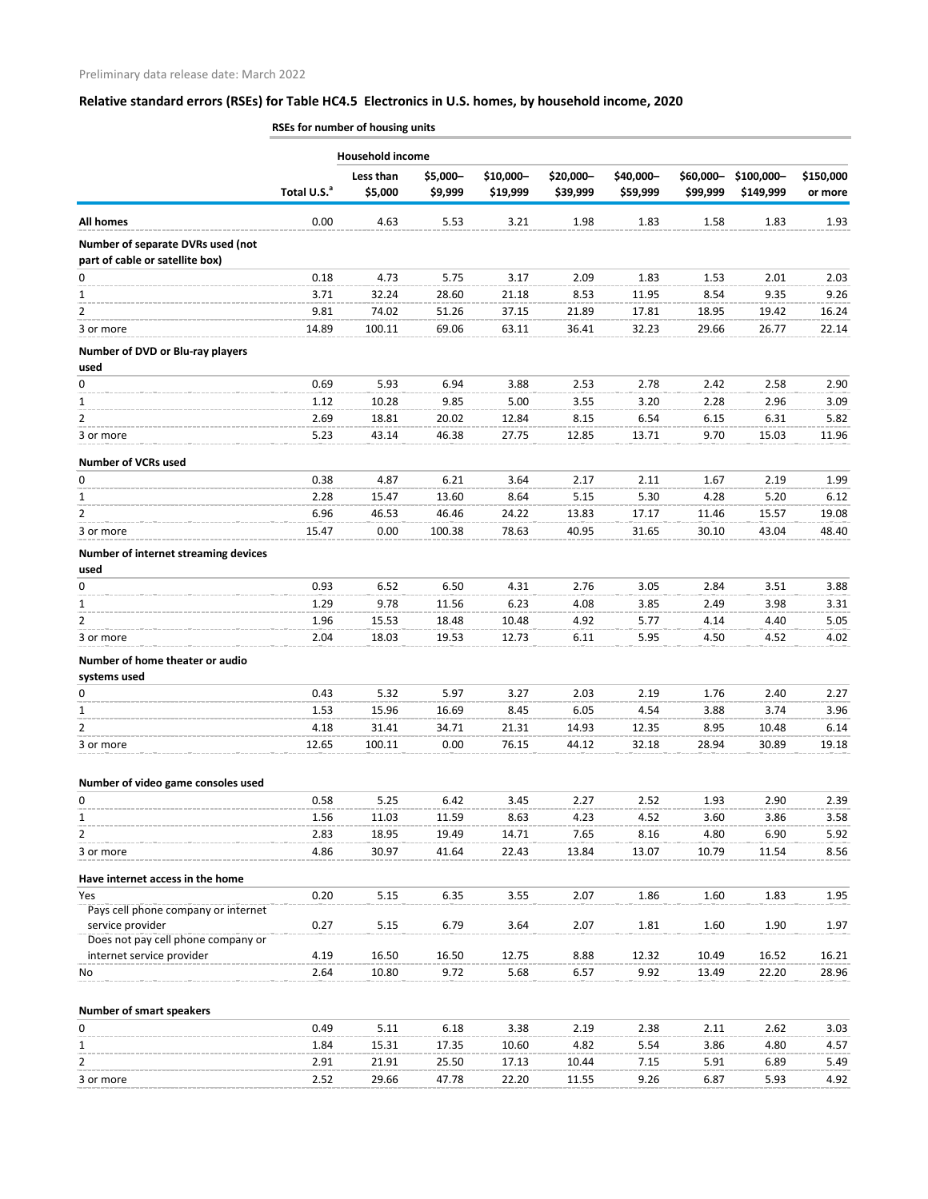**RSEs for number of housing units**

|                                                                      | <b>Household income</b> |                      |                     |                       |                       |                       |                       |                         |                      |  |
|----------------------------------------------------------------------|-------------------------|----------------------|---------------------|-----------------------|-----------------------|-----------------------|-----------------------|-------------------------|----------------------|--|
|                                                                      | Total U.S. <sup>a</sup> | Less than<br>\$5,000 | \$5,000-<br>\$9,999 | \$10,000-<br>\$19,999 | \$20,000-<br>\$39,999 | \$40,000-<br>\$59,999 | \$60,000-<br>\$99,999 | \$100,000-<br>\$149,999 | \$150,000<br>or more |  |
| All homes                                                            | 0.00                    | 4.63                 | 5.53                | 3.21                  | 1.98                  | 1.83                  | 1.58                  | 1.83                    | 1.93                 |  |
| Number of separate DVRs used (not<br>part of cable or satellite box) |                         |                      |                     |                       |                       |                       |                       |                         |                      |  |
| 0                                                                    | 0.18                    | 4.73                 | 5.75                | 3.17                  | 2.09                  | 1.83                  | 1.53                  | 2.01                    | 2.03                 |  |
| 1                                                                    | 3.71                    | 32.24                | 28.60               | 21.18                 | 8.53                  | 11.95                 | 8.54                  | 9.35                    | 9.26                 |  |
| $\overline{2}$                                                       | 9.81                    | 74.02                | 51.26               | 37.15                 | 21.89                 | 17.81                 | 18.95                 | 19.42                   | 16.24                |  |
| 3 or more                                                            | 14.89                   | 100.11               | 69.06               | 63.11                 | 36.41                 | 32.23                 | 29.66                 | 26.77                   | 22.14                |  |
| Number of DVD or Blu-ray players<br>used                             |                         |                      |                     |                       |                       |                       |                       |                         |                      |  |
| 0                                                                    | 0.69                    | 5.93                 | 6.94                | 3.88                  | 2.53                  | 2.78                  | 2.42                  | 2.58                    | 2.90                 |  |
| 1                                                                    | 1.12                    | 10.28                | 9.85                | 5.00                  | 3.55                  | 3.20                  | 2.28                  | 2.96                    | 3.09                 |  |
| 2                                                                    | 2.69                    | 18.81                | 20.02               | 12.84                 | 8.15                  | 6.54                  | 6.15                  | 6.31                    | 5.82                 |  |
| 3 or more                                                            | 5.23                    | 43.14                | 46.38               | 27.75                 | 12.85                 | 13.71                 | 9.70                  | 15.03                   | 11.96                |  |
| <b>Number of VCRs used</b>                                           |                         |                      |                     |                       |                       |                       |                       |                         |                      |  |
| 0                                                                    | 0.38                    | 4.87                 | 6.21                | 3.64                  | 2.17                  | 2.11                  | 1.67                  | 2.19                    | 1.99                 |  |
| 1                                                                    | 2.28                    | 15.47                | 13.60               | 8.64                  | 5.15                  | 5.30                  | 4.28                  | 5.20                    | 6.12                 |  |
| $\overline{2}$                                                       | 6.96                    | 46.53                | 46.46               | 24.22                 | 13.83                 | 17.17                 | 11.46                 | 15.57                   | 19.08                |  |
| 3 or more                                                            | 15.47                   | 0.00                 | 100.38              | 78.63                 | 40.95                 | 31.65                 | 30.10                 | 43.04                   | 48.40                |  |
| Number of internet streaming devices<br>used                         |                         |                      |                     |                       |                       |                       |                       |                         |                      |  |
| 0                                                                    | 0.93                    | 6.52                 | 6.50                | 4.31                  | 2.76                  | 3.05                  | 2.84                  | 3.51                    | 3.88                 |  |
| 1                                                                    | 1.29                    | 9.78                 | 11.56               | 6.23                  | 4.08                  | 3.85                  | 2.49                  | 3.98                    | 3.31                 |  |
| $\overline{2}$                                                       | 1.96                    | 15.53                | 18.48               | 10.48                 | 4.92                  | 5.77                  | 4.14                  | 4.40                    | 5.05                 |  |
| 3 or more                                                            | 2.04                    | 18.03                | 19.53               | 12.73                 | 6.11                  | 5.95                  | 4.50                  | 4.52                    | 4.02                 |  |
| Number of home theater or audio<br>systems used                      |                         |                      |                     |                       |                       |                       |                       |                         |                      |  |
| 0                                                                    | 0.43                    | 5.32                 | 5.97                | 3.27                  | 2.03                  | 2.19                  | 1.76                  | 2.40                    | 2.27                 |  |
| 1                                                                    | 1.53                    | 15.96                | 16.69               | 8.45                  | 6.05                  | 4.54                  | 3.88                  | 3.74                    | 3.96                 |  |
| $\overline{2}$                                                       | 4.18                    | 31.41                | 34.71               | 21.31                 | 14.93                 | 12.35                 | 8.95                  | 10.48                   | 6.14                 |  |
| 3 or more                                                            | 12.65                   | 100.11               | 0.00                | 76.15                 | 44.12                 | 32.18                 | 28.94                 | 30.89                   | 19.18                |  |
| Number of video game consoles used                                   |                         |                      |                     |                       |                       |                       |                       |                         |                      |  |
| 0                                                                    | 0.58                    | 5.25                 | 6.42                | 3.45                  | 2.27                  | 2.52                  | 1.93                  | 2.90                    | 2.39                 |  |
| 1                                                                    | 1.56                    | 11.03                | 11.59               | 8.63                  | 4.23                  | 4.52                  | 3.60                  | 3.86                    | 3.58                 |  |
| $\overline{2}$                                                       | 2.83                    | 18.95                | 19.49               | 14.71                 | 7.65                  | 8.16                  | 4.80                  | 6.90                    | 5.92                 |  |
| 3 or more                                                            | 4.86                    | 30.97                | 41.64               | 22.43                 | 13.84                 | 13.07                 | 10.79                 | 11.54                   | 8.56                 |  |
| Have internet access in the home                                     |                         |                      |                     |                       |                       |                       |                       |                         |                      |  |
| Yes                                                                  | 0.20                    | 5.15                 | 6.35                | 3.55                  | 2.07                  | 1.86                  | 1.60                  | 1.83                    | 1.95                 |  |
| Pays cell phone company or internet                                  |                         |                      |                     |                       |                       |                       |                       |                         |                      |  |
| service provider                                                     | 0.27                    | 5.15                 | 6.79                | 3.64                  | 2.07                  | 1.81                  | 1.60                  | 1.90                    | 1.97                 |  |
| Does not pay cell phone company or                                   |                         |                      |                     |                       |                       |                       |                       |                         |                      |  |
| internet service provider                                            | 4.19                    | 16.50                | 16.50               | 12.75                 | 8.88                  | 12.32                 | 10.49                 | 16.52                   | 16.21                |  |
| No                                                                   | 2.64                    | 10.80                | 9.72                | 5.68                  | 6.57                  | 9.92                  | 13.49                 | 22.20                   | 28.96                |  |
| <b>Number of smart speakers</b>                                      |                         |                      |                     |                       |                       |                       |                       |                         |                      |  |
| 0                                                                    | 0.49                    | 5.11                 | 6.18                | 3.38                  | 2.19                  | 2.38                  | 2.11                  | 2.62                    | 3.03                 |  |
| 1                                                                    | 1.84                    | 15.31                | 17.35               | 10.60                 | 4.82                  | 5.54                  | 3.86                  | 4.80                    | 4.57                 |  |
| 2                                                                    | 2.91                    | 21.91                | 25.50               | 17.13                 | 10.44                 | 7.15                  | 5.91                  | 6.89                    | 5.49                 |  |

3 or more 2.52 29.66 47.78 22.20 11.55 9.26 6.87 5.93 4.92